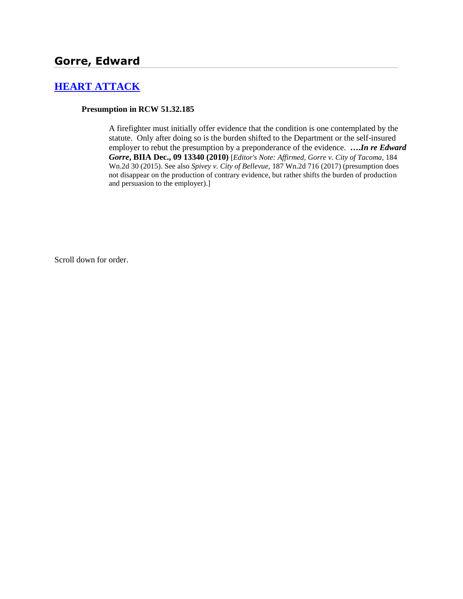# **[HEART ATTACK](http://www.biia.wa.gov/SDSubjectIndex.html#HEART_ATTACK)**

#### **Presumption in RCW 51.32.185**

A firefighter must initially offer evidence that the condition is one contemplated by the statute. Only after doing so is the burden shifted to the Department or the self-insured employer to rebut the presumption by a preponderance of the evidence. **….***In re Edward Gorre***, BIIA Dec., 09 13340 (2010)** [*Editor's Note: Affirmed, Gorre v. City of Tacoma,* 184 Wn.2d 30 (2015). See also *Spivey v. City of Bellevue,* 187 Wn.2d 716 (2017) (presumption does not disappear on the production of contrary evidence, but rather shifts the burden of production and persuasion to the employer).]

Scroll down for order.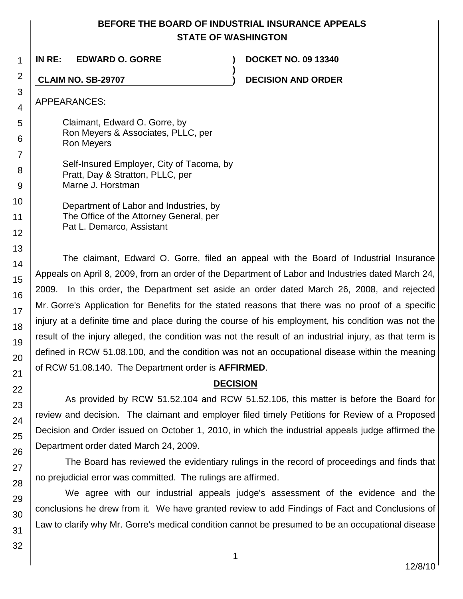## **BEFORE THE BOARD OF INDUSTRIAL INSURANCE APPEALS STATE OF WASHINGTON**

**)**

**IN RE: EDWARD O. GORRE ) DOCKET NO. 09 13340**

**CLAIM NO. SB-29707 ) DECISION AND ORDER**

APPEARANCES:

Claimant, Edward O. Gorre, by Ron Meyers & Associates, PLLC, per Ron Meyers

Self-Insured Employer, City of Tacoma, by Pratt, Day & Stratton, PLLC, per Marne J. Horstman

Department of Labor and Industries, by The Office of the Attorney General, per Pat L. Demarco, Assistant

The claimant, Edward O. Gorre, filed an appeal with the Board of Industrial Insurance Appeals on April 8, 2009, from an order of the Department of Labor and Industries dated March 24, 2009. In this order, the Department set aside an order dated March 26, 2008, and rejected Mr. Gorre's Application for Benefits for the stated reasons that there was no proof of a specific injury at a definite time and place during the course of his employment, his condition was not the result of the injury alleged, the condition was not the result of an industrial injury, as that term is defined in RCW 51.08.100, and the condition was not an occupational disease within the meaning of RCW 51.08.140. The Department order is **AFFIRMED**.

## **DECISION**

As provided by RCW 51.52.104 and RCW 51.52.106, this matter is before the Board for review and decision. The claimant and employer filed timely Petitions for Review of a Proposed Decision and Order issued on October 1, 2010, in which the industrial appeals judge affirmed the Department order dated March 24, 2009.

The Board has reviewed the evidentiary rulings in the record of proceedings and finds that no prejudicial error was committed. The rulings are affirmed.

We agree with our industrial appeals judge's assessment of the evidence and the conclusions he drew from it. We have granted review to add Findings of Fact and Conclusions of Law to clarify why Mr. Gorre's medical condition cannot be presumed to be an occupational disease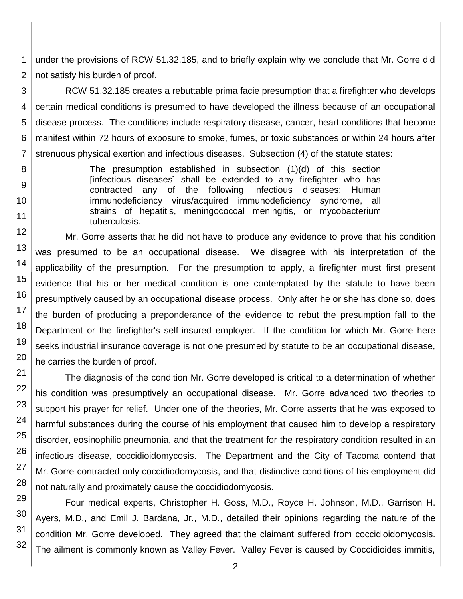1 2 under the provisions of RCW 51.32.185, and to briefly explain why we conclude that Mr. Gorre did not satisfy his burden of proof.

3 4 5 RCW 51.32.185 creates a rebuttable prima facie presumption that a firefighter who develops certain medical conditions is presumed to have developed the illness because of an occupational disease process. The conditions include respiratory disease, cancer, heart conditions that become manifest within 72 hours of exposure to smoke, fumes, or toxic substances or within 24 hours after strenuous physical exertion and infectious diseases. Subsection (4) of the statute states:

> The presumption established in subsection (1)(d) of this section [infectious diseases] shall be extended to any firefighter who has contracted any of the following infectious diseases: Human immunodeficiency virus/acquired immunodeficiency syndrome, all strains of hepatitis, meningococcal meningitis, or mycobacterium tuberculosis.

Mr. Gorre asserts that he did not have to produce any evidence to prove that his condition was presumed to be an occupational disease. We disagree with his interpretation of the applicability of the presumption. For the presumption to apply, a firefighter must first present evidence that his or her medical condition is one contemplated by the statute to have been presumptively caused by an occupational disease process. Only after he or she has done so, does the burden of producing a preponderance of the evidence to rebut the presumption fall to the Department or the firefighter's self-insured employer. If the condition for which Mr. Gorre here seeks industrial insurance coverage is not one presumed by statute to be an occupational disease, he carries the burden of proof.

The diagnosis of the condition Mr. Gorre developed is critical to a determination of whether his condition was presumptively an occupational disease. Mr. Gorre advanced two theories to support his prayer for relief. Under one of the theories, Mr. Gorre asserts that he was exposed to harmful substances during the course of his employment that caused him to develop a respiratory disorder, eosinophilic pneumonia, and that the treatment for the respiratory condition resulted in an infectious disease, coccidioidomycosis. The Department and the City of Tacoma contend that Mr. Gorre contracted only coccidiodomycosis, and that distinctive conditions of his employment did not naturally and proximately cause the coccidiodomycosis.

Four medical experts, Christopher H. Goss, M.D., Royce H. Johnson, M.D., Garrison H. Ayers, M.D., and Emil J. Bardana, Jr., M.D., detailed their opinions regarding the nature of the condition Mr. Gorre developed. They agreed that the claimant suffered from coccidioidomycosis. The ailment is commonly known as Valley Fever. Valley Fever is caused by Coccidioides immitis,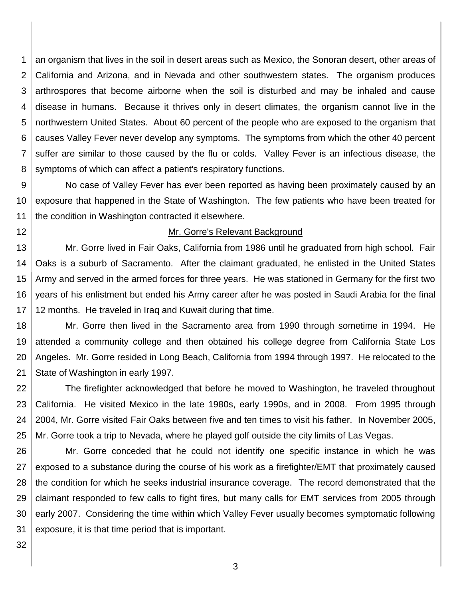1 2 3 4 5 6 7 8 an organism that lives in the soil in desert areas such as Mexico, the Sonoran desert, other areas of California and Arizona, and in Nevada and other southwestern states. The organism produces arthrospores that become airborne when the soil is disturbed and may be inhaled and cause disease in humans. Because it thrives only in desert climates, the organism cannot live in the northwestern United States. About 60 percent of the people who are exposed to the organism that causes Valley Fever never develop any symptoms. The symptoms from which the other 40 percent suffer are similar to those caused by the flu or colds. Valley Fever is an infectious disease, the symptoms of which can affect a patient's respiratory functions.

9 10 11 No case of Valley Fever has ever been reported as having been proximately caused by an exposure that happened in the State of Washington. The few patients who have been treated for the condition in Washington contracted it elsewhere.

12

#### Mr. Gorre's Relevant Background

13 14 15 16 17 Mr. Gorre lived in Fair Oaks, California from 1986 until he graduated from high school. Fair Oaks is a suburb of Sacramento. After the claimant graduated, he enlisted in the United States Army and served in the armed forces for three years. He was stationed in Germany for the first two years of his enlistment but ended his Army career after he was posted in Saudi Arabia for the final 12 months. He traveled in Iraq and Kuwait during that time.

18 19 20 21 Mr. Gorre then lived in the Sacramento area from 1990 through sometime in 1994. He attended a community college and then obtained his college degree from California State Los Angeles. Mr. Gorre resided in Long Beach, California from 1994 through 1997. He relocated to the State of Washington in early 1997.

22 23 24 25 The firefighter acknowledged that before he moved to Washington, he traveled throughout California. He visited Mexico in the late 1980s, early 1990s, and in 2008. From 1995 through 2004, Mr. Gorre visited Fair Oaks between five and ten times to visit his father. In November 2005, Mr. Gorre took a trip to Nevada, where he played golf outside the city limits of Las Vegas.

26 27 28 29 30 31 Mr. Gorre conceded that he could not identify one specific instance in which he was exposed to a substance during the course of his work as a firefighter/EMT that proximately caused the condition for which he seeks industrial insurance coverage. The record demonstrated that the claimant responded to few calls to fight fires, but many calls for EMT services from 2005 through early 2007. Considering the time within which Valley Fever usually becomes symptomatic following exposure, it is that time period that is important.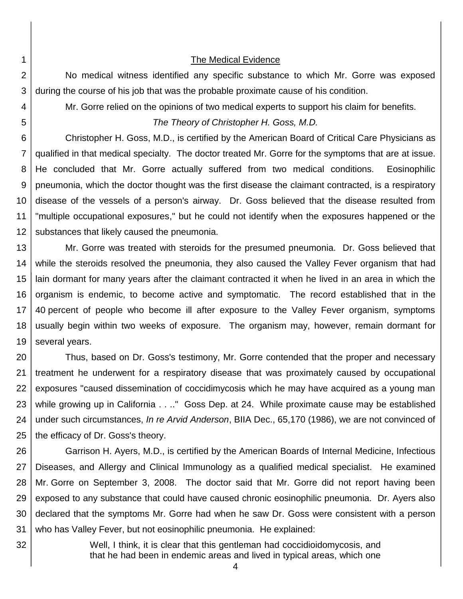2 3

1

#### The Medical Evidence

No medical witness identified any specific substance to which Mr. Gorre was exposed during the course of his job that was the probable proximate cause of his condition.

Mr. Gorre relied on the opinions of two medical experts to support his claim for benefits.

5

32

4

*The Theory of Christopher H. Goss, M.D.*

6 7 8 9 10 11 12 Christopher H. Goss, M.D., is certified by the American Board of Critical Care Physicians as qualified in that medical specialty. The doctor treated Mr. Gorre for the symptoms that are at issue. He concluded that Mr. Gorre actually suffered from two medical conditions. Eosinophilic pneumonia, which the doctor thought was the first disease the claimant contracted, is a respiratory disease of the vessels of a person's airway. Dr. Goss believed that the disease resulted from "multiple occupational exposures," but he could not identify when the exposures happened or the substances that likely caused the pneumonia.

13 14 15 16 17 18 19 Mr. Gorre was treated with steroids for the presumed pneumonia. Dr. Goss believed that while the steroids resolved the pneumonia, they also caused the Valley Fever organism that had lain dormant for many years after the claimant contracted it when he lived in an area in which the organism is endemic, to become active and symptomatic. The record established that in the 40 percent of people who become ill after exposure to the Valley Fever organism, symptoms usually begin within two weeks of exposure. The organism may, however, remain dormant for several years.

20 21 22 23 24 25 Thus, based on Dr. Goss's testimony, Mr. Gorre contended that the proper and necessary treatment he underwent for a respiratory disease that was proximately caused by occupational exposures "caused dissemination of coccidimycosis which he may have acquired as a young man while growing up in California . . .." Goss Dep. at 24. While proximate cause may be established under such circumstances, *In re Arvid Anderson*, BIIA Dec., 65,170 (1986), we are not convinced of the efficacy of Dr. Goss's theory.

26 27 28 29 30 31 Garrison H. Ayers, M.D., is certified by the American Boards of Internal Medicine, Infectious Diseases, and Allergy and Clinical Immunology as a qualified medical specialist. He examined Mr. Gorre on September 3, 2008. The doctor said that Mr. Gorre did not report having been exposed to any substance that could have caused chronic eosinophilic pneumonia. Dr. Ayers also declared that the symptoms Mr. Gorre had when he saw Dr. Goss were consistent with a person who has Valley Fever, but not eosinophilic pneumonia. He explained:

Well, I think, it is clear that this gentleman had coccidioidomycosis, and that he had been in endemic areas and lived in typical areas, which one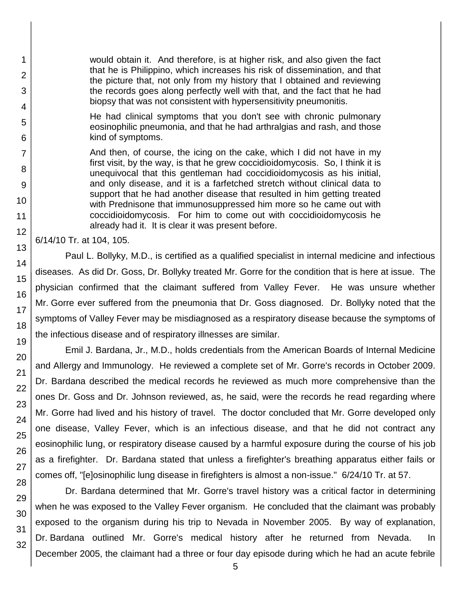would obtain it. And therefore, is at higher risk, and also given the fact that he is Philippino, which increases his risk of dissemination, and that the picture that, not only from my history that I obtained and reviewing the records goes along perfectly well with that, and the fact that he had biopsy that was not consistent with hypersensitivity pneumonitis.

He had clinical symptoms that you don't see with chronic pulmonary eosinophilic pneumonia, and that he had arthralgias and rash, and those kind of symptoms.

And then, of course, the icing on the cake, which I did not have in my first visit, by the way, is that he grew coccidioidomycosis. So, I think it is unequivocal that this gentleman had coccidioidomycosis as his initial, and only disease, and it is a farfetched stretch without clinical data to support that he had another disease that resulted in him getting treated with Prednisone that immunosuppressed him more so he came out with coccidioidomycosis. For him to come out with coccidioidomycosis he already had it. It is clear it was present before.

6/14/10 Tr. at 104, 105.

Paul L. Bollyky, M.D., is certified as a qualified specialist in internal medicine and infectious diseases. As did Dr. Goss, Dr. Bollyky treated Mr. Gorre for the condition that is here at issue. The physician confirmed that the claimant suffered from Valley Fever. He was unsure whether Mr. Gorre ever suffered from the pneumonia that Dr. Goss diagnosed. Dr. Bollyky noted that the symptoms of Valley Fever may be misdiagnosed as a respiratory disease because the symptoms of the infectious disease and of respiratory illnesses are similar.

Emil J. Bardana, Jr., M.D., holds credentials from the American Boards of Internal Medicine and Allergy and Immunology. He reviewed a complete set of Mr. Gorre's records in October 2009. Dr. Bardana described the medical records he reviewed as much more comprehensive than the ones Dr. Goss and Dr. Johnson reviewed, as, he said, were the records he read regarding where Mr. Gorre had lived and his history of travel. The doctor concluded that Mr. Gorre developed only one disease, Valley Fever, which is an infectious disease, and that he did not contract any eosinophilic lung, or respiratory disease caused by a harmful exposure during the course of his job as a firefighter. Dr. Bardana stated that unless a firefighter's breathing apparatus either fails or comes off, "[e]osinophilic lung disease in firefighters is almost a non-issue." 6/24/10 Tr. at 57.

Dr. Bardana determined that Mr. Gorre's travel history was a critical factor in determining when he was exposed to the Valley Fever organism. He concluded that the claimant was probably exposed to the organism during his trip to Nevada in November 2005. By way of explanation, Dr. Bardana outlined Mr. Gorre's medical history after he returned from Nevada. In December 2005, the claimant had a three or four day episode during which he had an acute febrile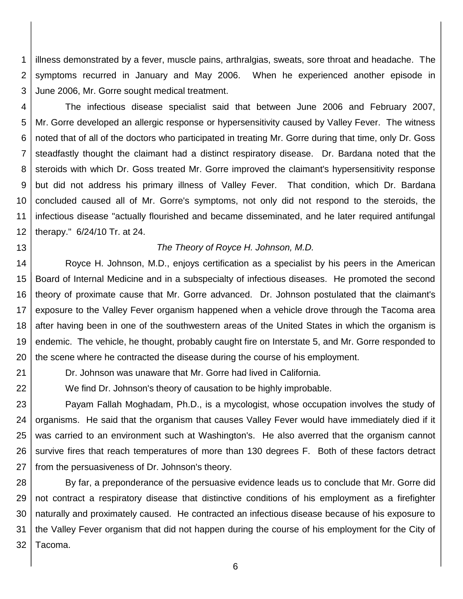1 2 3 illness demonstrated by a fever, muscle pains, arthralgias, sweats, sore throat and headache. The symptoms recurred in January and May 2006. When he experienced another episode in June 2006, Mr. Gorre sought medical treatment.

4 5 6 7 8 9 10 11 12 The infectious disease specialist said that between June 2006 and February 2007, Mr. Gorre developed an allergic response or hypersensitivity caused by Valley Fever. The witness noted that of all of the doctors who participated in treating Mr. Gorre during that time, only Dr. Goss steadfastly thought the claimant had a distinct respiratory disease. Dr. Bardana noted that the steroids with which Dr. Goss treated Mr. Gorre improved the claimant's hypersensitivity response but did not address his primary illness of Valley Fever. That condition, which Dr. Bardana concluded caused all of Mr. Gorre's symptoms, not only did not respond to the steroids, the infectious disease "actually flourished and became disseminated, and he later required antifungal therapy." 6/24/10 Tr. at 24.

#### 13

21

22

#### *The Theory of Royce H. Johnson, M.D.*

14 15 16 17 18 19 20 Royce H. Johnson, M.D., enjoys certification as a specialist by his peers in the American Board of Internal Medicine and in a subspecialty of infectious diseases. He promoted the second theory of proximate cause that Mr. Gorre advanced. Dr. Johnson postulated that the claimant's exposure to the Valley Fever organism happened when a vehicle drove through the Tacoma area after having been in one of the southwestern areas of the United States in which the organism is endemic. The vehicle, he thought, probably caught fire on Interstate 5, and Mr. Gorre responded to the scene where he contracted the disease during the course of his employment.

Dr. Johnson was unaware that Mr. Gorre had lived in California.

We find Dr. Johnson's theory of causation to be highly improbable.

23 24 25 26 27 Payam Fallah Moghadam, Ph.D., is a mycologist, whose occupation involves the study of organisms. He said that the organism that causes Valley Fever would have immediately died if it was carried to an environment such at Washington's. He also averred that the organism cannot survive fires that reach temperatures of more than 130 degrees F. Both of these factors detract from the persuasiveness of Dr. Johnson's theory.

28 29 30 31 32 By far, a preponderance of the persuasive evidence leads us to conclude that Mr. Gorre did not contract a respiratory disease that distinctive conditions of his employment as a firefighter naturally and proximately caused. He contracted an infectious disease because of his exposure to the Valley Fever organism that did not happen during the course of his employment for the City of Tacoma.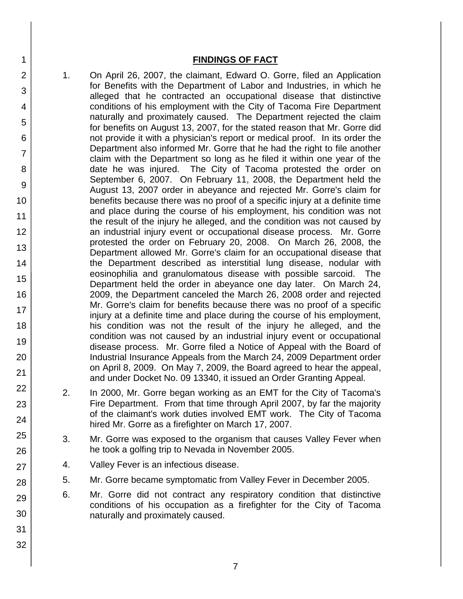### **FINDINGS OF FACT**

- 1. On April 26, 2007, the claimant, Edward O. Gorre, filed an Application for Benefits with the Department of Labor and Industries, in which he alleged that he contracted an occupational disease that distinctive conditions of his employment with the City of Tacoma Fire Department naturally and proximately caused. The Department rejected the claim for benefits on August 13, 2007, for the stated reason that Mr. Gorre did not provide it with a physician's report or medical proof. In its order the Department also informed Mr. Gorre that he had the right to file another claim with the Department so long as he filed it within one year of the date he was injured. The City of Tacoma protested the order on September 6, 2007. On February 11, 2008, the Department held the August 13, 2007 order in abeyance and rejected Mr. Gorre's claim for benefits because there was no proof of a specific injury at a definite time and place during the course of his employment, his condition was not the result of the injury he alleged, and the condition was not caused by an industrial injury event or occupational disease process. Mr. Gorre protested the order on February 20, 2008. On March 26, 2008, the Department allowed Mr. Gorre's claim for an occupational disease that the Department described as interstitial lung disease, nodular with eosinophilia and granulomatous disease with possible sarcoid. The Department held the order in abeyance one day later. On March 24, 2009, the Department canceled the March 26, 2008 order and rejected Mr. Gorre's claim for benefits because there was no proof of a specific injury at a definite time and place during the course of his employment, his condition was not the result of the injury he alleged, and the condition was not caused by an industrial injury event or occupational disease process. Mr. Gorre filed a Notice of Appeal with the Board of Industrial Insurance Appeals from the March 24, 2009 Department order on April 8, 2009. On May 7, 2009, the Board agreed to hear the appeal, and under Docket No. 09 13340, it issued an Order Granting Appeal.
- 2. In 2000, Mr. Gorre began working as an EMT for the City of Tacoma's Fire Department. From that time through April 2007, by far the majority of the claimant's work duties involved EMT work. The City of Tacoma hired Mr. Gorre as a firefighter on March 17, 2007.
- 3. Mr. Gorre was exposed to the organism that causes Valley Fever when he took a golfing trip to Nevada in November 2005.
- 4. Valley Fever is an infectious disease.
- 5. Mr. Gorre became symptomatic from Valley Fever in December 2005.
- 6. Mr. Gorre did not contract any respiratory condition that distinctive conditions of his occupation as a firefighter for the City of Tacoma naturally and proximately caused.
- 27 28 29 30 31

32

1

2

3

4

5

6

7

8

9

10

11

12

13

14

15

16

17 18

19

20

21

22

23

24

25